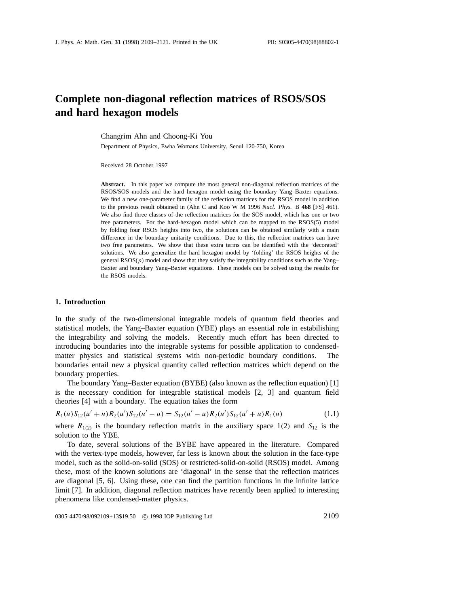# **Complete non-diagonal reflection matrices of RSOS/SOS and hard hexagon models**

Changrim Ahn and Choong-Ki You

Department of Physics, Ewha Womans University, Seoul 120-750, Korea

Received 28 October 1997

**Abstract.** In this paper we compute the most general non-diagonal reflection matrices of the RSOS/SOS models and the hard hexagon model using the boundary Yang–Baxter equations. We find a new one-parameter family of the reflection matrices for the RSOS model in addition to the previous result obtained in (Ahn C and Koo W M 1996 *Nucl. Phys.* B **468** [FS] 461). We also find three classes of the reflection matrices for the SOS model, which has one or two free parameters. For the hard-hexagon model which can be mapped to the RSOS(5) model by folding four RSOS heights into two, the solutions can be obtained similarly with a main difference in the boundary unitarity conditions. Due to this, the reflection matrices can have two free parameters. We show that these extra terms can be identified with the 'decorated' solutions. We also generalize the hard hexagon model by 'folding' the RSOS heights of the general  $RSOS(p)$  model and show that they satisfy the integrability conditions such as the Yang– Baxter and boundary Yang–Baxter equations. These models can be solved using the results for the RSOS models.

#### **1. Introduction**

In the study of the two-dimensional integrable models of quantum field theories and statistical models, the Yang–Baxter equation (YBE) plays an essential role in estabilishing the integrability and solving the models. Recently much effort has been directed to introducing boundaries into the integrable systems for possible application to condensedmatter physics and statistical systems with non-periodic boundary conditions. The boundaries entail new a physical quantity called reflection matrices which depend on the boundary properties.

The boundary Yang–Baxter equation (BYBE) (also known as the reflection equation) [1] is the necessary condition for integrable statistical models [2, 3] and quantum field theories [4] with a boundary. The equation takes the form

$$
R_1(u)S_{12}(u'+u)R_2(u')S_{12}(u'-u) = S_{12}(u'-u)R_2(u')S_{12}(u'+u)R_1(u)
$$
\n(1.1)

where  $R_{1(2)}$  is the boundary reflection matrix in the auxiliary space 1(2) and  $S_{12}$  is the solution to the YBE.

To date, several solutions of the BYBE have appeared in the literature. Compared with the vertex-type models, however, far less is known about the solution in the face-type model, such as the solid-on-solid (SOS) or restricted-solid-on-solid (RSOS) model. Among these, most of the known solutions are 'diagonal' in the sense that the reflection matrices are diagonal [5, 6]. Using these, one can find the partition functions in the infinite lattice limit [7]. In addition, diagonal reflection matrices have recently been applied to interesting phenomena like condensed-matter physics.

0305-4470/98/092109+13\$19.50 © 1998 IOP Publishing Ltd 2109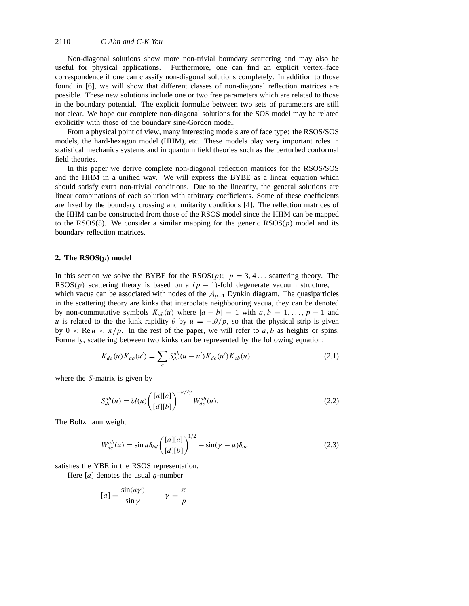Non-diagonal solutions show more non-trivial boundary scattering and may also be useful for physical applications. Furthermore, one can find an explicit vertex–face correspondence if one can classify non-diagonal solutions completely. In addition to those found in [6], we will show that different classes of non-diagonal reflection matrices are possible. These new solutions include one or two free parameters which are related to those in the boundary potential. The explicit formulae between two sets of parameters are still not clear. We hope our complete non-diagonal solutions for the SOS model may be related explicitly with those of the boundary sine-Gordon model.

From a physical point of view, many interesting models are of face type: the RSOS/SOS models, the hard-hexagon model (HHM), etc. These models play very important roles in statistical mechanics systems and in quantum field theories such as the perturbed conformal field theories.

In this paper we derive complete non-diagonal reflection matrices for the RSOS/SOS and the HHM in a unified way. We will express the BYBE as a linear equation which should satisfy extra non-trivial conditions. Due to the linearity, the general solutions are linear combinations of each solution with arbitrary coefficients. Some of these coefficients are fixed by the boundary crossing and unitarity conditions [4]. The reflection matrices of the HHM can be constructed from those of the RSOS model since the HHM can be mapped to the RSOS(5). We consider a similar mapping for the generic  $RSOS(p)$  model and its boundary reflection matrices.

## **2. The RSOS(***p***) model**

In this section we solve the BYBE for the  $RSOS(p)$ ;  $p = 3, 4...$  scattering theory. The RSOS(p) scattering theory is based on a  $(p - 1)$ -fold degenerate vacuum structure, in which vacua can be associated with nodes of the  $A_{p-1}$  Dynkin diagram. The quasiparticles in the scattering theory are kinks that interpolate neighbouring vacua, they can be denoted by non-commutative symbols  $K_{ab}(u)$  where  $|a - b| = 1$  with  $a, b = 1, \ldots, p - 1$  and *u* is related to the the kink rapidity  $\theta$  by  $u = -i\theta/p$ , so that the physical strip is given by  $0 < \text{Re } u < \pi/p$ . In the rest of the paper, we will refer to *a*, *b* as heights or spins. Formally, scattering between two kinks can be represented by the following equation:

$$
K_{da}(u)K_{ab}(u') = \sum_{c} S_{dc}^{ab}(u - u')K_{dc}(u')K_{cb}(u)
$$
\n(2.1)

where the *S*-matrix is given by

$$
S_{dc}^{ab}(u) = \mathcal{U}(u) \left( \frac{[a][c]}{[d][b]} \right)^{-u/2\gamma} W_{dc}^{ab}(u).
$$
 (2.2)

The Boltzmann weight

$$
W_{dc}^{ab}(u) = \sin u \delta_{bd} \left(\frac{[a][c]}{[d][b]}\right)^{1/2} + \sin(\gamma - u)\delta_{ac} \tag{2.3}
$$

satisfies the YBE in the RSOS representation.

Here [*a*] denotes the usual *q*-number

$$
[a] = \frac{\sin(a\gamma)}{\sin\gamma} \qquad \gamma = \frac{\pi}{p}
$$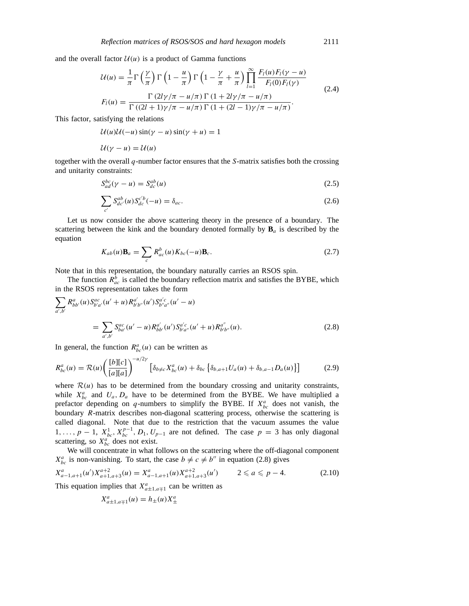and the overall factor  $U(u)$  is a product of Gamma functions

$$
\mathcal{U}(u) = \frac{1}{\pi} \Gamma\left(\frac{\gamma}{\pi}\right) \Gamma\left(1 - \frac{u}{\pi}\right) \Gamma\left(1 - \frac{\gamma}{\pi} + \frac{u}{\pi}\right) \prod_{l=1}^{\infty} \frac{F_l(u) F_l(\gamma - u)}{F_l(0) F_l(\gamma)}
$$
\n
$$
F_l(u) = \frac{\Gamma\left(2l\gamma/\pi - u/\pi\right) \Gamma\left(1 + 2l\gamma/\pi - u/\pi\right)}{\Gamma\left((2l+1)\gamma/\pi - u/\pi\right) \Gamma\left(1 + (2l-1)\gamma/\pi - u/\pi\right)}.
$$
\n(2.4)

This factor, satisfying the relations

 $U(u)U(-u)\sin(\gamma - u)\sin(\gamma + u) = 1$ 

$$
\mathcal{U}(\gamma - u) = \mathcal{U}(u)
$$

together with the overall *q*-number factor ensures that the *S*-matrix satisfies both the crossing and unitarity constraints:

$$
S_{ad}^{bc}(\gamma - u) = S_{dc}^{ab}(u)
$$
\n(2.5)

$$
\sum_{c'} S_{dc'}^{ab}(u) S_{dc}^{c'b}(-u) = \delta_{ac}.
$$
\n(2.6)

Let us now consider the above scattering theory in the presence of a boundary. The scattering between the kink and the boundary denoted formally by  $\mathbf{B}_a$  is described by the equation

$$
K_{ab}(u)\mathbf{B}_a = \sum_c R_{ac}^b(u)K_{bc}(-u)\mathbf{B}_c.
$$
\n(2.7)

Note that in this representation, the boundary naturally carries an RSOS spin.

The function  $R_{ac}^b$  is called the boundary reflection matrix and satisfies the BYBE, which in the RSOS representation takes the form

$$
\sum_{a',b'} R^{a}_{bb'}(u) S^{ac}_{b'a'}(u'+u) R^{a'}_{b'b''}(u') S^{a'c}_{b''a''}(u'-u)
$$
\n
$$
= \sum_{a',b'} S^{ac}_{ba'}(u'-u) R^{a'}_{bb'}(u') S^{a'c}_{b'a''}(u'+u) R^{a''}_{b'b''}(u).
$$
\n(2.8)

In general, the function  $R_{bc}^{a}(u)$  can be written as

$$
R_{bc}^{a}(u) = \mathcal{R}(u) \left( \frac{[b][c]}{[a][a]} \right)^{-u/2\gamma} \left[ \delta_{b \neq c} X_{bc}^{a}(u) + \delta_{bc} \left\{ \delta_{b,a+1} U_{a}(u) + \delta_{b,a-1} D_{a}(u) \right\} \right]
$$
(2.9)

where  $R(u)$  has to be determined from the boundary crossing and unitarity constraints, while  $X_{bc}^a$  and  $U_a$ ,  $D_a$  have to be determined from the BYBE. We have multiplied a prefactor depending on  $q$ -numbers to simplify the BYBE. If  $X_{bc}^a$  does not vanish, the boundary *R*-matrix describes non-diagonal scattering process, otherwise the scattering is called diagonal. Note that due to the restriction that the vacuum assumes the value 1,...,  $p-1$ ,  $X_{bc}^1$ ,  $X_{bc}^{p-1}$ ,  $D_1$ ,  $U_{p-1}$  are not defined. The case  $p=3$  has only diagonal scattering, so  $X_{bc}^a$  does not exist.

We will concentrate in what follows on the scattering where the off-diagonal component  $X_{bc}^a$  is non-vanishing. To start, the case  $b \neq c \neq b$ <sup>0</sup> in equation (2.8) gives

$$
X_{a-1,a+1}^a(u')X_{a+1,a+3}^{a+2}(u) = X_{a-1,a+1}^a(u)X_{a+1,a+3}^{a+2}(u') \qquad 2 \le a \le p-4. \tag{2.10}
$$

This equation implies that  $X_{a\pm1,a+1}^a$  can be written as

$$
X_{a\pm 1,a\mp 1}^a(u) = h_{\pm}(u)X_{\pm}^a
$$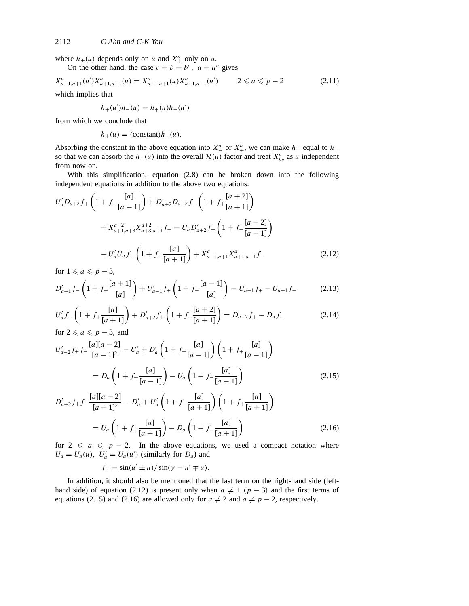where  $h_{\pm}(u)$  depends only on *u* and  $X_{\pm}^a$  only on *a*.

On the other hand, the case  $c = b = b^{\prime\prime}$ ,  $a = a^{\prime\prime}$  gives

$$
X_{a-1,a+1}^{a}(u')X_{a+1,a-1}^{a}(u) = X_{a-1,a+1}^{a}(u)X_{a+1,a-1}^{a}(u') \qquad 2 \leq a \leq p-2 \qquad (2.11)
$$

which implies that

$$
h_{+}(u')h_{-}(u) = h_{+}(u)h_{-}(u')
$$

from which we conclude that

 $h_{+}(u) = (\text{constant})h_{-}(u).$ 

Absorbing the constant in the above equation into  $X^a_+$  or  $X^a_+$ , we can make  $h_+$  equal to  $h_$ so that we can absorb the  $h_{\pm}(u)$  into the overall  $\mathcal{R}(u)$  factor and treat  $X_{bc}^a$  as *u* independent from now on.

With this simplification, equation (2.8) can be broken down into the following independent equations in addition to the above two equations:

$$
U'_{a}D_{a+2}f_{+}\left(1+f_{-\frac{[a]}{[a+1]}}\right)+D'_{a+2}D_{a+2}f_{-}\left(1+f_{+\frac{[a+2]}{[a+1]}}\right)
$$
  
+ $X^{a+2}_{a+1,a+3}X^{a+2}_{a+3,a+1}f_{-}=U_{a}D'_{a+2}f_{+}\left(1+f_{-\frac{[a+2]}{[a+1]}}\right)$   
+ $U'_{a}U_{a}f_{-}\left(1+f_{+\frac{[a]}{[a+1]}}\right)+X^{a}_{a-1,a+1}X^{a}_{a+1,a-1}f_{-}$  (2.12)

for  $1 \leq a \leq p-3$ ,

$$
D'_{a+1}f - \left(1 + f_+\frac{[a+1]}{[a]}\right) + U'_{a-1}f_+\left(1 + f_-\frac{[a-1]}{[a]}\right) = U_{a-1}f_+ - U_{a+1}f_-\tag{2.13}
$$

$$
U'_a f_- \left( 1 + f_+ \frac{[a]}{[a+1]} \right) + D'_{a+2} f_+ \left( 1 + f_- \frac{[a+2]}{[a+1]} \right) = D_{a+2} f_+ - D_a f_- \tag{2.14}
$$
  
for  $2 \le a \le p-3$ , and

$$
U'_{a-2}f_{+}f_{-}\frac{[a][a-2]}{[a-1]^2} - U'_{a} + D'_{a}\left(1 + f_{-}\frac{[a]}{[a-1]}\right)\left(1 + f_{+}\frac{[a]}{[a-1]}\right)
$$
  
= 
$$
D_{a}\left(1 + f_{+}\frac{[a]}{[a-1]}\right) - U_{a}\left(1 + f_{-}\frac{[a]}{[a-1]}\right)
$$
(2.15)

$$
D'_{a+2}f_{+}f_{-}\frac{[a][a+2]}{[a+1]^2} - D'_{a} + U'_{a}\left(1 + f_{-}\frac{[a]}{[a+1]}\right)\left(1 + f_{+}\frac{[a]}{[a+1]}\right)
$$

$$
= U_{a}\left(1 + f_{+}\frac{[a]}{[a+1]}\right) - D_{a}\left(1 + f_{-}\frac{[a]}{[a+1]}\right)
$$
(2.16)

for  $2 \le a \le p - 2$ . In the above equations, we used a compact notation where  $U_a = U_a(u)$ ,  $U'_a = U_a(u')$  (similarly for  $D_a$ ) and

 $f_{+} = \sin(u' \pm u)/\sin(v - u' \mp u).$ 

In addition, it should also be mentioned that the last term on the right-hand side (lefthand side) of equation (2.12) is present only when  $a \neq 1$  ( $p-3$ ) and the first terms of equations (2.15) and (2.16) are allowed only for  $a \neq 2$  and  $a \neq p-2$ , respectively.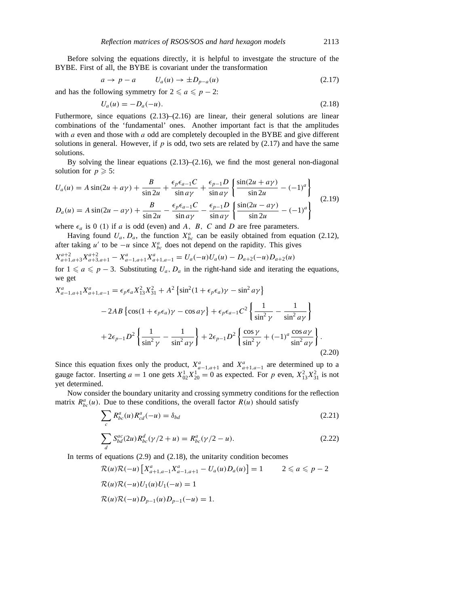Before solving the equations directly, it is helpful to investgate the structure of the BYBE. First of all, the BYBE is covariant under the transformation

$$
a \to p - a \qquad U_a(u) \to \pm D_{p-a}(u) \tag{2.17}
$$

and has the following symmetry for  $2 \le a \le p - 2$ :

$$
U_a(u) = -D_a(-u). \t\t(2.18)
$$

Futhermore, since equations (2.13)–(2.16) are linear, their general solutions are linear combinations of the 'fundamental' ones. Another important fact is that the amplitudes with *a* even and those with *a* odd are completely decoupled in the BYBE and give different solutions in general. However, if *p* is odd, two sets are related by (2.17) and have the same solutions.

By solving the linear equations  $(2.13)$ – $(2.16)$ , we find the most general non-diagonal solution for  $p \ge 5$ :

$$
U_a(u) = A \sin(2u + a\gamma) + \frac{B}{\sin 2u} + \frac{\epsilon_p \epsilon_{a-1} C}{\sin a\gamma} + \frac{\epsilon_{p-1} D}{\sin a\gamma} \left\{ \frac{\sin(2u + a\gamma)}{\sin 2u} - (-1)^a \right\}
$$
  

$$
D_a(u) = A \sin(2u - a\gamma) + \frac{B}{\sin 2u} - \frac{\epsilon_p \epsilon_{a-1} C}{\sin a\gamma} - \frac{\epsilon_{p-1} D}{\sin a\gamma} \left\{ \frac{\sin(2u - a\gamma)}{\sin 2u} - (-1)^a \right\}
$$
(2.19)

where  $\epsilon_a$  is 0 (1) if *a* is odd (even) and *A*, *B*, *C* and *D* are free parameters.

Having found  $U_a$ ,  $D_a$ , the function  $X^a_{bc}$  can be easily obtained from equation (2.12), after taking *u'* to be  $-u$  since  $X_{bc}^a$  does not depend on the rapidity. This gives

$$
X_{a+1,a+3}^{a+2}X_{a+3,a+1}^{a+2} - X_{a-1,a+1}^{a}X_{a+1,a-1}^{a} = U_a(-u)U_a(u) - D_{a+2}(-u)D_{a+2}(u)
$$

for  $1 \le a \le p-3$ . Substituting  $U_a$ ,  $D_a$  in the right-hand side and iterating the equations, we get

$$
X_{a-1,a+1}^{a} X_{a+1,a-1}^{a} = \epsilon_{p} \epsilon_{a} X_{13}^{2} X_{31}^{2} + A^{2} \left\{ \sin^{2}(1 + \epsilon_{p} \epsilon_{a}) \gamma - \sin^{2} a \gamma \right\}
$$
  
- 2AB \left\{ \cos(1 + \epsilon\_{p} \epsilon\_{a}) \gamma - \cos a \gamma \right\} + \epsilon\_{p} \epsilon\_{a-1} C^{2} \left\{ \frac{1}{\sin^{2} \gamma} - \frac{1}{\sin^{2} a \gamma} \right\}   
+ 2\epsilon\_{p-1} D^{2} \left\{ \frac{1}{\sin^{2} \gamma} - \frac{1}{\sin^{2} a \gamma} \right\} + 2\epsilon\_{p-1} D^{2} \left\{ \frac{\cos \gamma}{\sin^{2} \gamma} + (-1)^{a} \frac{\cos a \gamma}{\sin^{2} a \gamma} \right\}. (2.20)

Since this equation fixes only the product,  $X_{a-1,a+1}^a$  and  $X_{a+1,a-1}^a$  are determined up to a gauge factor. Inserting  $a = 1$  one gets  $X_{02}^1 X_{20}^1 = 0$  as expected. For *p* even,  $X_{13}^2 X_{31}^2$  is not yet determined.

Now consider the boundary unitarity and crossing symmetry conditions for the reflection matrix  $R_{bc}^{a}(u)$ . Due to these conditions, the overall factor  $R(u)$  should satisfy

$$
\sum_{c} R_{bc}^{a}(u) R_{cd}^{a}(-u) = \delta_{bd} \tag{2.21}
$$

$$
\sum_{d} S_{bd}^{ac}(2u) R_{bc}^{d}(\gamma/2 + u) = R_{bc}^{a}(\gamma/2 - u).
$$
 (2.22)

In terms of equations  $(2.9)$  and  $(2.18)$ , the unitarity condition becomes

$$
\mathcal{R}(u)\mathcal{R}(-u) \left[ X_{a+1,a-1}^a X_{a-1,a+1}^a - U_a(u)D_a(u) \right] = 1 \qquad 2 \le a \le p-2
$$
  

$$
\mathcal{R}(u)\mathcal{R}(-u)U_1(u)U_1(-u) = 1
$$
  

$$
\mathcal{R}(u)\mathcal{R}(-u)D_{p-1}(u)D_{p-1}(-u) = 1.
$$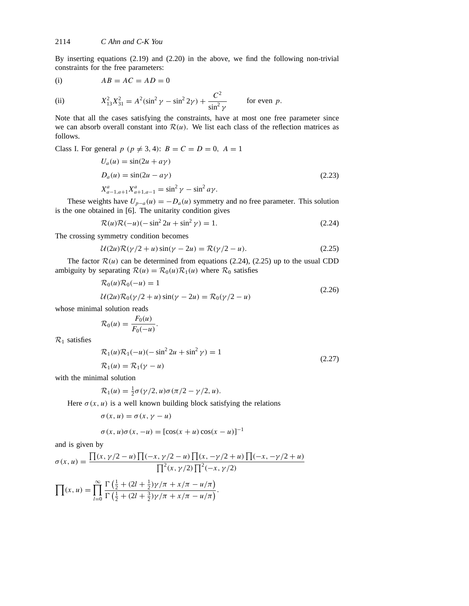By inserting equations (2.19) and (2.20) in the above, we find the following non-trivial constraints for the free parameters:

$$
(i) \tAB = AC = AD = 0
$$

(ii)  $X_{13}^2 X_{31}^2 = A^2 (\sin^2 \gamma - \sin^2 2\gamma) + \frac{C^2}{\sin^2 \gamma}$  $\frac{\partial}{\sin^2 \gamma}$  for even *p*.

Note that all the cases satisfying the constraints, have at most one free parameter since we can absorb overall constant into  $\mathcal{R}(u)$ . We list each class of the reflection matrices as follows.

Class I. For general 
$$
p
$$
 ( $p \neq 3, 4$ ):  $B = C = D = 0$ ,  $A = 1$   
\n
$$
U_a(u) = \sin(2u + a\gamma)
$$
\n
$$
D_a(u) = \sin(2u - a\gamma)
$$
\n
$$
X_{a-1, a+1}^a X_{a+1, a-1}^a = \sin^2 \gamma - \sin^2 a\gamma.
$$
\n(2.23)

These weights have  $U_{p-a}(u) = -D_a(u)$  symmetry and no free parameter. This solution is the one obtained in [6]. The unitarity condition gives

$$
\mathcal{R}(u)\mathcal{R}(-u)(-\sin^2 2u + \sin^2 \gamma) = 1.
$$
 (2.24)

The crossing symmetry condition becomes

$$
U(2u)\mathcal{R}(\gamma/2+u)\sin(\gamma-2u) = \mathcal{R}(\gamma/2-u). \tag{2.25}
$$

The factor  $\mathcal{R}(u)$  can be determined from equations (2.24), (2.25) up to the usual CDD ambiguity by separating  $\mathcal{R}(u) = \mathcal{R}_0(u)\mathcal{R}_1(u)$  where  $\mathcal{R}_0$  satisfies

$$
\mathcal{R}_0(u)\mathcal{R}_0(-u) = 1
$$
  
 
$$
\mathcal{U}(2u)\mathcal{R}_0(\gamma/2 + u)\sin(\gamma - 2u) = \mathcal{R}_0(\gamma/2 - u)
$$
 (2.26)

whose minimal solution reads

$$
\mathcal{R}_0(u) = \frac{F_0(u)}{F_0(-u)}.
$$

*R*<sup>1</sup> satisfies

$$
\mathcal{R}_1(u)\mathcal{R}_1(-u)(-\sin^2 2u + \sin^2 \gamma) = 1
$$
  
 
$$
\mathcal{R}_1(u) = \mathcal{R}_1(\gamma - u)
$$
 (2.27)

with the minimal solution

$$
\mathcal{R}_1(u) = \frac{1}{2}\sigma(\gamma/2, u)\sigma(\pi/2 - \gamma/2, u).
$$

Here  $\sigma(x, u)$  is a well known building block satisfying the relations

$$
\sigma(x, u) = \sigma(x, \gamma - u)
$$

$$
\sigma(x, u)\sigma(x, -u) = [\cos(x + u)\cos(x - u)]^{-1}
$$

and is given by

$$
\sigma(x, u) = \frac{\prod(x, \gamma/2 - u) \prod(-x, \gamma/2 - u) \prod(x, -\gamma/2 + u) \prod(-x, -\gamma/2 + u)}{\prod^2(x, \gamma/2) \prod^2(-x, \gamma/2)}
$$

$$
\prod(x, u) = \prod_{l=0}^{\infty} \frac{\Gamma(\frac{1}{2} + (2l + \frac{1}{2})\gamma/\pi + x/\pi - u/\pi)}{\Gamma(\frac{1}{2} + (2l + \frac{3}{2})\gamma/\pi + x/\pi - u/\pi)}.
$$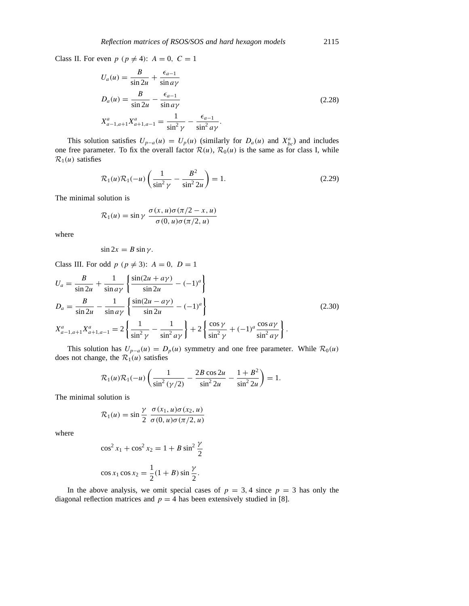Class II. For even  $p$  ( $p \neq 4$ ):  $A = 0$ ,  $C = 1$ 

$$
U_a(u) = \frac{B}{\sin 2u} + \frac{\epsilon_{a-1}}{\sin a\gamma}
$$
  
\n
$$
D_a(u) = \frac{B}{\sin 2u} - \frac{\epsilon_{a-1}}{\sin a\gamma}
$$
  
\n
$$
X_{a-1,a+1}^a X_{a+1,a-1}^a = \frac{1}{\sin^2 \gamma} - \frac{\epsilon_{a-1}}{\sin^2 a\gamma}.
$$
\n(2.28)

This solution satisfies  $U_{p-a}(u) = U_p(u)$  (similarly for  $D_a(u)$  and  $X_{bc}^a$ ) and includes one free parameter. To fix the overall factor  $\mathcal{R}(u)$ ,  $\mathcal{R}_0(u)$  is the same as for class I, while  $\mathcal{R}_1(u)$  satisfies

$$
\mathcal{R}_1(u)\mathcal{R}_1(-u)\left(\frac{1}{\sin^2\gamma} - \frac{B^2}{\sin^2 2u}\right) = 1.
$$
 (2.29)

The minimal solution is

$$
\mathcal{R}_1(u) = \sin \gamma \; \frac{\sigma(x, u)\sigma(\pi/2 - x, u)}{\sigma(0, u)\sigma(\pi/2, u)}
$$

where

$$
\sin 2x = B \sin \gamma.
$$

Class III. For odd  $p$  ( $p \neq 3$ ):  $A = 0$ ,  $D = 1$ 

$$
U_a = \frac{B}{\sin 2u} + \frac{1}{\sin a\gamma} \left\{ \frac{\sin(2u + a\gamma)}{\sin 2u} - (-1)^a \right\}
$$
  
\n
$$
D_a = \frac{B}{\sin 2u} - \frac{1}{\sin a\gamma} \left\{ \frac{\sin(2u - a\gamma)}{\sin 2u} - (-1)^a \right\}
$$
  
\n
$$
X_{a-1, a+1}^a X_{a+1, a-1}^a = 2 \left\{ \frac{1}{\sin^2 \gamma} - \frac{1}{\sin^2 a\gamma} \right\} + 2 \left\{ \frac{\cos \gamma}{\sin^2 \gamma} + (-1)^a \frac{\cos a\gamma}{\sin^2 a\gamma} \right\}.
$$
\n(2.30)

This solution has  $U_{p-a}(u) = D_p(u)$  symmetry and one free parameter. While  $\mathcal{R}_0(u)$ does not change, the  $\mathcal{R}_1(u)$  satisfies

$$
\mathcal{R}_1(u)\mathcal{R}_1(-u)\left(\frac{1}{\sin^2{(\gamma/2)}}-\frac{2B\cos{2u}}{\sin^2{2u}}-\frac{1+B^2}{\sin^2{2u}}\right)=1.
$$

The minimal solution is

$$
\mathcal{R}_1(u) = \sin\frac{\gamma}{2} \frac{\sigma(x_1, u)\sigma(x_2, u)}{\sigma(0, u)\sigma(\pi/2, u)}
$$

where

$$
\cos^2 x_1 + \cos^2 x_2 = 1 + B \sin^2 \frac{\gamma}{2}
$$
  

$$
\cos x_1 \cos x_2 = \frac{1}{2} (1 + B) \sin \frac{\gamma}{2}.
$$

In the above analysis, we omit special cases of  $p = 3, 4$  since  $p = 3$  has only the diagonal reflection matrices and  $p = 4$  has been extensively studied in [8].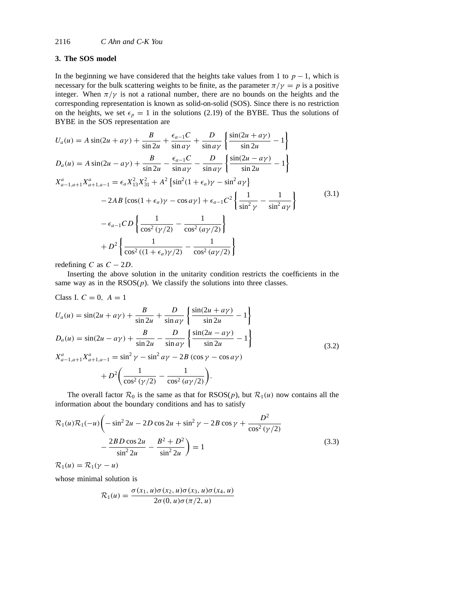# **3. The SOS model**

In the beginning we have considered that the heights take values from 1 to  $p - 1$ , which is necessary for the bulk scattering weights to be finite, as the parameter  $\pi/\gamma = p$  is a positive integer. When  $\pi/\gamma$  is not a rational number, there are no bounds on the heights and the corresponding representation is known as solid-on-solid (SOS). Since there is no restriction on the heights, we set  $\epsilon_p = 1$  in the solutions (2.19) of the BYBE. Thus the solutions of BYBE in the SOS representation are

$$
U_a(u) = A \sin(2u + a\gamma) + \frac{B}{\sin 2u} + \frac{\epsilon_{a-1}C}{\sin a\gamma} + \frac{D}{\sin a\gamma} \left\{ \frac{\sin(2u + a\gamma)}{\sin 2u} - 1 \right\}
$$
  
\n
$$
D_a(u) = A \sin(2u - a\gamma) + \frac{B}{\sin 2u} - \frac{\epsilon_{a-1}C}{\sin a\gamma} - \frac{D}{\sin a\gamma} \left\{ \frac{\sin(2u - a\gamma)}{\sin 2u} - 1 \right\}
$$
  
\n
$$
X_{a-1,a+1}^a X_{a+1,a-1}^a = \epsilon_a X_{13}^2 X_{31}^2 + A^2 \left\{ \sin^2(1 + \epsilon_a)\gamma - \sin^2 a\gamma \right\}
$$
  
\n
$$
- 2AB \left\{ \cos(1 + \epsilon_a)\gamma - \cos a\gamma \right\} + \epsilon_{a-1} C^2 \left\{ \frac{1}{\sin^2 \gamma} - \frac{1}{\sin^2 a\gamma} \right\}
$$
  
\n
$$
- \epsilon_{a-1} CD \left\{ \frac{1}{\cos^2(\gamma/2)} - \frac{1}{\cos^2(a\gamma/2)} \right\}
$$
  
\n
$$
+ D^2 \left\{ \frac{1}{\cos^2((1 + \epsilon_a)\gamma/2)} - \frac{1}{\cos^2(a\gamma/2)} \right\}
$$
 (3.1)

redefining *C* as  $C - 2D$ .

Inserting the above solution in the unitarity condition restricts the coefficients in the same way as in the  $RSOS(p)$ . We classify the solutions into three classes.

Class I. 
$$
C = 0
$$
,  $A = 1$   
\n
$$
U_a(u) = \sin(2u + a\gamma) + \frac{B}{\sin 2u} + \frac{D}{\sin a\gamma} \left\{ \frac{\sin(2u + a\gamma)}{\sin 2u} - 1 \right\}
$$
\n
$$
D_a(u) = \sin(2u - a\gamma) + \frac{B}{\sin 2u} - \frac{D}{\sin a\gamma} \left\{ \frac{\sin(2u - a\gamma)}{\sin 2u} - 1 \right\}
$$
\n
$$
X_{a-1, a+1}^a X_{a+1, a-1}^a = \sin^2 \gamma - \sin^2 a\gamma - 2B (\cos \gamma - \cos a\gamma)
$$
\n
$$
+ D^2 \left( \frac{1}{\cos^2 (\gamma/2)} - \frac{1}{\cos^2 (a\gamma/2)} \right).
$$
\n(3.2)

The overall factor  $\mathcal{R}_0$  is the same as that for  $RSOS(p)$ , but  $\mathcal{R}_1(u)$  now contains all the information about the boundary conditions and has to satisfy

$$
\mathcal{R}_1(u)\mathcal{R}_1(-u)\left(-\sin^2 2u - 2D\cos 2u + \sin^2 \gamma - 2B\cos \gamma + \frac{D^2}{\cos^2 (\gamma/2)} - \frac{2BD\cos 2u}{\sin^2 2u} - \frac{B^2 + D^2}{\sin^2 2u}\right) = 1
$$
\n(3.3)

 $\mathcal{R}_1(u) = \mathcal{R}_1(\gamma - u)$ 

whose minimal solution is

$$
\mathcal{R}_1(u) = \frac{\sigma(x_1, u)\sigma(x_2, u)\sigma(x_3, u)\sigma(x_4, u)}{2\sigma(0, u)\sigma(\pi/2, u)}
$$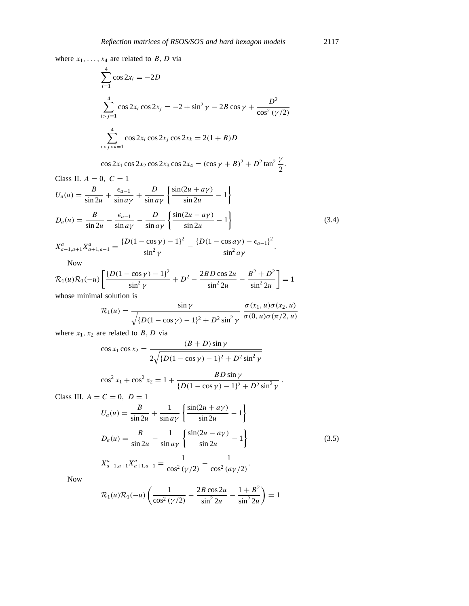where  $x_1, \ldots, x_4$  are related to *B*, *D* via

$$
\sum_{i=1}^{4} \cos 2x_i = -2D
$$
  

$$
\sum_{i>j=1}^{4} \cos 2x_i \cos 2x_j = -2 + \sin^2 \gamma - 2B \cos \gamma + \frac{D^2}{\cos^2 (\gamma/2)}
$$
  

$$
\sum_{i>j=k=1}^{4} \cos 2x_i \cos 2x_j \cos 2x_k = 2(1 + B)D
$$

$$
\cos 2x_1 \cos 2x_2 \cos 2x_3 \cos 2x_4 = (\cos \gamma + B)^2 + D^2 \tan^2 \frac{\gamma}{2}.
$$

Class II.  $A = 0, C = 1$ 

$$
U_a(u) = \frac{B}{\sin 2u} + \frac{\epsilon_{a-1}}{\sin a\gamma} + \frac{D}{\sin a\gamma} \left\{ \frac{\sin(2u + a\gamma)}{\sin 2u} - 1 \right\}
$$
  

$$
D_a(u) = \frac{B}{\sin 2u} - \frac{\epsilon_{a-1}}{\sin a\gamma} - \frac{D}{\sin a\gamma} \left\{ \frac{\sin(2u - a\gamma)}{\sin 2u} - 1 \right\}
$$
(3.4)

$$
X_{a-1,a+1}^a X_{a+1,a-1}^a = \frac{\{D(1-\cos\gamma)-1\}^2}{\sin^2\gamma} - \frac{\{D(1-\cos a\gamma)-\epsilon_{a-1}\}^2}{\sin^2 a\gamma}.
$$

Now

$$
\mathcal{R}_1(u)\mathcal{R}_1(-u)\left[\frac{\{D(1-\cos\gamma)-1\}^2}{\sin^2\gamma}+D^2-\frac{2BD\cos 2u}{\sin^2 2u}-\frac{B^2+D^2}{\sin^2 2u}\right]=1
$$

whose minimal solution is

$$
\mathcal{R}_1(u) = \frac{\sin \gamma}{\sqrt{\{D(1 - \cos \gamma) - 1\}^2 + D^2 \sin^2 \gamma}} \frac{\sigma(x_1, u)\sigma(x_2, u)}{\sigma(0, u)\sigma(\pi/2, u)}
$$

where  $x_1, x_2$  are related to *B*, *D* via

$$
\cos x_1 \cos x_2 = \frac{(B+D)\sin\gamma}{2\sqrt{\{D(1-\cos\gamma)-1\}^2 + D^2\sin^2\gamma}}
$$

$$
\cos^2 x_1 + \cos^2 x_2 = 1 + \frac{BD \sin \gamma}{\{D(1 - \cos \gamma) - 1\}^2 + D^2 \sin^2 \gamma}.
$$

Class III.  $A = C = 0, D = 1$ 

$$
U_a(u) = \frac{B}{\sin 2u} + \frac{1}{\sin a\gamma} \left\{ \frac{\sin(2u + a\gamma)}{\sin 2u} - 1 \right\}
$$
  
\n
$$
D_a(u) = \frac{B}{\sin 2u} - \frac{1}{\sin a\gamma} \left\{ \frac{\sin(2u - a\gamma)}{\sin 2u} - 1 \right\}
$$
  
\n
$$
X_{a-1, a+1}^a X_{a+1, a-1}^a = \frac{1}{\cos^2(\gamma/2)} - \frac{1}{\cos^2(a\gamma/2)}.
$$
\n(3.5)

Now

$$
\mathcal{R}_1(u)\mathcal{R}_1(-u)\left(\frac{1}{\cos^2{(\gamma/2)}}-\frac{2B\cos{2u}}{\sin^2{2u}}-\frac{1+B^2}{\sin^2{2u}}\right)=1
$$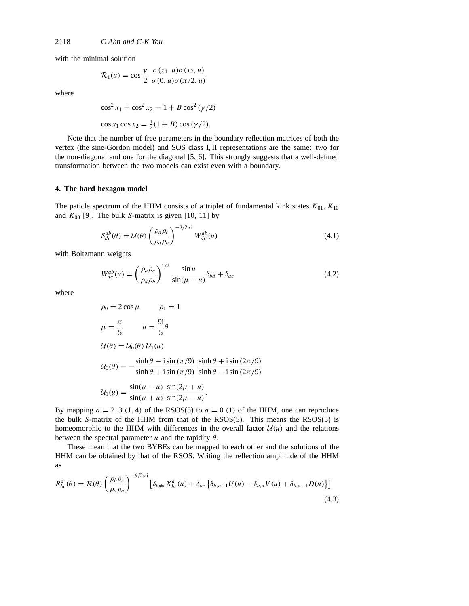with the minimal solution

$$
\mathcal{R}_1(u) = \cos\frac{\gamma}{2} \frac{\sigma(x_1, u)\sigma(x_2, u)}{\sigma(0, u)\sigma(\pi/2, u)}
$$

where

$$
\cos^2 x_1 + \cos^2 x_2 = 1 + B \cos^2 (\gamma/2)
$$
  

$$
\cos x_1 \cos x_2 = \frac{1}{2}(1 + B) \cos (\gamma/2).
$$

Note that the number of free parameters in the boundary reflection matrices of both the vertex (the sine-Gordon model) and SOS class I, II representations are the same: two for the non-diagonal and one for the diagonal [5, 6]. This strongly suggests that a well-defined transformation between the two models can exist even with a boundary.

## **4. The hard hexagon model**

The paticle spectrum of the HHM consists of a triplet of fundamental kink states  $K_{01}$ ,  $K_{10}$ and  $K_{00}$  [9]. The bulk *S*-matrix is given [10, 11] by

$$
S_{dc}^{ab}(\theta) = \mathcal{U}(\theta) \left(\frac{\rho_a \rho_c}{\rho_d \rho_b}\right)^{-\theta/2\pi i} W_{dc}^{ab}(u)
$$
\n(4.1)

with Boltzmann weights

$$
W_{dc}^{ab}(u) = \left(\frac{\rho_a \rho_c}{\rho_d \rho_b}\right)^{1/2} \frac{\sin u}{\sin(u - u)} \delta_{bd} + \delta_{ac}
$$
 (4.2)

where

$$
\rho_0 = 2 \cos \mu \qquad \rho_1 = 1
$$
  
\n
$$
\mu = \frac{\pi}{5} \qquad u = \frac{9i}{5} \theta
$$
  
\n
$$
U(\theta) = U_0(\theta) U_1(u)
$$
  
\n
$$
U_0(\theta) = -\frac{\sinh \theta - i \sin (\pi/9)}{\sinh \theta + i \sin (\pi/9)} \frac{\sinh \theta + i \sin (2\pi/9)}{\sinh \theta - i \sin (2\pi/9)}
$$
  
\n
$$
U_1(u) = \frac{\sin(\mu - u)}{\sin(\mu + u)} \frac{\sin(2\mu + u)}{\sin(2\mu - u)}.
$$

By mapping  $a = 2, 3$  (1, 4) of the RSOS(5) to  $a = 0$  (1) of the HHM, one can reproduce the bulk *S*-matrix of the HHM from that of the RSOS(5). This means the RSOS(5) is homeomorphic to the HHM with differences in the overall factor  $U(u)$  and the relations between the spectral parameter  $u$  and the rapidity  $\theta$ .

These mean that the two BYBEs can be mapped to each other and the solutions of the HHM can be obtained by that of the RSOS. Writing the reflection amplitude of the HHM as

$$
R_{bc}^{a}(\theta) = \mathcal{R}(\theta) \left( \frac{\rho_b \rho_c}{\rho_a \rho_a} \right)^{-\theta/2\pi i} \left[ \delta_{b \neq c} X_{bc}^{a}(u) + \delta_{bc} \left\{ \delta_{b,a+1} U(u) + \delta_{b,a} V(u) + \delta_{b,a-1} D(u) \right\} \right]
$$
(4.3)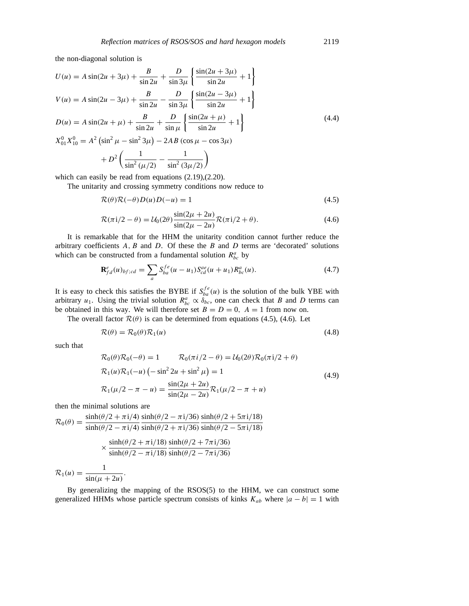the non-diagonal solution is

$$
U(u) = A \sin(2u + 3\mu) + \frac{B}{\sin 2u} + \frac{D}{\sin 3\mu} \left\{ \frac{\sin(2u + 3\mu)}{\sin 2u} + 1 \right\}
$$
  
\n
$$
V(u) = A \sin(2u - 3\mu) + \frac{B}{\sin 2u} - \frac{D}{\sin 3\mu} \left\{ \frac{\sin(2u - 3\mu)}{\sin 2u} + 1 \right\}
$$
  
\n
$$
D(u) = A \sin(2u + \mu) + \frac{B}{\sin 2u} + \frac{D}{\sin \mu} \left\{ \frac{\sin(2u + \mu)}{\sin 2u} + 1 \right\}
$$
  
\n
$$
X_{01}^{0} X_{10}^{0} = A^{2} (\sin^{2} \mu - \sin^{2} 3\mu) - 2AB (\cos \mu - \cos 3\mu)
$$
  
\n
$$
+ D^{2} \left( \frac{1}{\sin^{2} (\mu/2)} - \frac{1}{\sin^{2} (3\mu/2)} \right)
$$
 (4.4)

 $\sin^2(3\mu/2)$ 

which can easily be read from equations (2.19),(2.20).

The unitarity and crossing symmetry conditions now reduce to

$$
\mathcal{R}(\theta)\mathcal{R}(-\theta)D(u)D(-u) = 1\tag{4.5}
$$

$$
\mathcal{R}(\pi i/2 - \theta) = \mathcal{U}_0(2\theta) \frac{\sin(2\mu + 2u)}{\sin(2\mu - 2u)} \mathcal{R}(\pi i/2 + \theta).
$$
 (4.6)

It is remarkable that for the HHM the unitarity condition cannot further reduce the arbitrary coefficients *A, B* and *D*. Of these the *B* and *D* terms are 'decorated' solutions which can be constructed from a fundamental solution  $R_{bc}^a$  by

$$
\mathbf{R}_{fd}^{e}(u)_{bf;cd} = \sum_{a} S_{ba}^{fe}(u - u_1) S_{cd}^{ae}(u + u_1) R_{bc}^{a}(u).
$$
 (4.7)

It is easy to check this satisfies the BYBE if  $S_{ba}^{fe}(u)$  is the solution of the bulk YBE with arbitrary  $u_1$ . Using the trivial solution  $R_{bc}^a \propto \delta_{bc}$ , one can check that *B* and *D* terms can be obtained in this way. We will therefore set  $B = D = 0$ ,  $A = 1$  from now on.

The overall factor  $\mathcal{R}(\theta)$  is can be determined from equations (4.5), (4.6). Let

$$
\mathcal{R}(\theta) = \mathcal{R}_0(\theta)\mathcal{R}_1(u) \tag{4.8}
$$

such that

$$
\mathcal{R}_0(\theta)\mathcal{R}_0(-\theta) = 1 \qquad \mathcal{R}_0(\pi i/2 - \theta) = \mathcal{U}_0(2\theta)\mathcal{R}_0(\pi i/2 + \theta)
$$
  

$$
\mathcal{R}_1(u)\mathcal{R}_1(-u) \left( -\sin^2 2u + \sin^2 \mu \right) = 1
$$
  

$$
\mathcal{R}_1(\mu/2 - \pi - u) = \frac{\sin(2\mu + 2u)}{\sin(2\mu - 2u)}\mathcal{R}_1(\mu/2 - \pi + u)
$$
 (4.9)

then the minimal solutions are

$$
\mathcal{R}_0(\theta) = \frac{\sinh(\theta/2 + \pi i/4)}{\sinh(\theta/2 - \pi i/4)} \frac{\sinh(\theta/2 - \pi i/36)}{\sinh(\theta/2 + \pi i/36)} \frac{\sinh(\theta/2 + 5\pi i/18)}{\sinh(\theta/2 - 5\pi i/18)} \times \frac{\sinh(\theta/2 + \pi i/18)}{\sinh(\theta/2 - \pi i/18)} \frac{\sinh(\theta/2 + 7\pi i/36)}{\sinh(\theta/2 - 7\pi i/36)} \n1
$$

 $\mathcal{R}_1(u) = \frac{1}{\sin((\mu + 2u))}.$ 

By generalizing the mapping of the  $RSOS(5)$  to the HHM, we can construct some generalized HHMs whose particle spectrum consists of kinks  $K_{ab}$  where  $|a - b| = 1$  with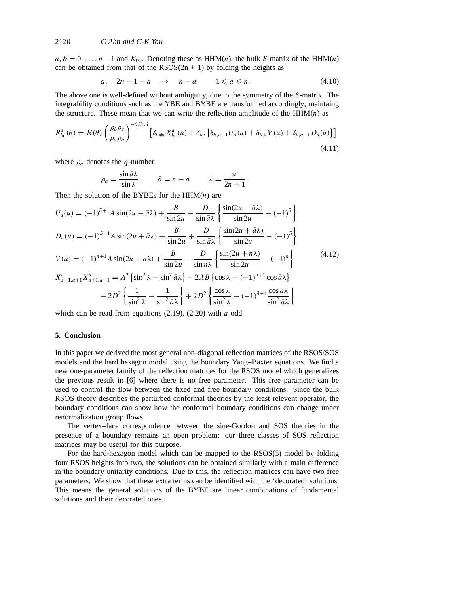$a, b = 0, \ldots, n-1$  and  $K_{00}$ . Denoting these as HHM(*n*), the bulk *S*-matrix of the HHM(*n*) can be obtained from that of the  $RSS(2n + 1)$  by folding the heights as

$$
a, \quad 2n+1-a \quad \rightarrow \quad n-a \qquad 1 \leqslant a \leqslant n. \tag{4.10}
$$

The above one is well-defined without ambiguity, due to the symmetry of the *S*-matrix. The integrability conditions such as the YBE and BYBE are transformed accordingly, maintaing the structure. These mean that we can write the reflection amplitude of the  $HHM(n)$  as

$$
R_{bc}^{a}(\theta) = \mathcal{R}(\theta) \left( \frac{\rho_b \rho_c}{\rho_a \rho_a} \right)^{-\theta/2\pi i} \left[ \delta_{b \neq c} X_{bc}^{a}(u) + \delta_{bc} \left\{ \delta_{b,a+1} U_a(u) + \delta_{b,a} V(u) + \delta_{b,a-1} D_a(u) \right\} \right]
$$
\n(4.11)

where  $\rho_a$  denotes the *q*-number

$$
\rho_a = \frac{\sin \bar{a}\lambda}{\sin \lambda} \qquad \bar{a} = n - a \qquad \lambda = \frac{\pi}{2n+1}.
$$

Then the solution of the BYBEs for the HHM(*n*) are

$$
U_a(u) = (-1)^{\bar{a}+1} A \sin(2u - \bar{a}\lambda) + \frac{B}{\sin 2u} - \frac{D}{\sin \bar{a}\lambda} \left\{ \frac{\sin(2u - \bar{a}\lambda)}{\sin 2u} - (-1)^{\bar{a}} \right\}
$$
  
\n
$$
D_a(u) = (-1)^{\bar{a}+1} A \sin(2u + \bar{a}\lambda) + \frac{B}{\sin 2u} + \frac{D}{\sin \bar{a}\lambda} \left\{ \frac{\sin(2u + \bar{a}\lambda)}{\sin 2u} - (-1)^{\bar{a}} \right\}
$$
  
\n
$$
V(u) = (-1)^{n+1} A \sin(2u + n\lambda) + \frac{B}{\sin 2u} + \frac{D}{\sin n\lambda} \left\{ \frac{\sin(2u + n\lambda)}{\sin 2u} - (-1)^n \right\}
$$
  
\n
$$
X_{a-1,a+1}^a X_{a+1,a-1}^a = A^2 \left\{ \sin^2 \lambda - \sin^2 \bar{a}\lambda \right\} - 2AB \left\{ \cos \lambda - (-1)^{\bar{a}+1} \cos \bar{a}\lambda \right\}
$$
  
\n
$$
+ 2D^2 \left\{ \frac{1}{\sin^2 \lambda} - \frac{1}{\sin^2 \bar{a}\lambda} \right\} + 2D^2 \left\{ \frac{\cos \lambda}{\sin^2 \lambda} - (-1)^{\bar{a}+1} \frac{\cos \bar{a}\lambda}{\sin^2 \bar{a}\lambda} \right\}
$$
 (4.12)

which can be read from equations (2.19), (2.20) with *a* odd.

### **5. Conclusion**

In this paper we derived the most general non-diagonal reflection matrices of the RSOS/SOS models and the hard hexagon model using the boundary Yang–Baxter equations. We find a new one-parameter family of the reflection matrices for the RSOS model which generalizes the previous result in [6] where there is no free parameter. This free parameter can be used to control the flow between the fixed and free boundary conditions. Since the bulk RSOS theory describes the perturbed conformal theories by the least relevent operator, the boundary conditions can show how the conformal boundary conditions can change under renormalization group flows.

The vertex–face correspondence between the sine-Gordon and SOS theories in the presence of a boundary remains an open problem: our three classes of SOS reflection matrices may be useful for this purpose.

For the hard-hexagon model which can be mapped to the RSOS(5) model by folding four RSOS heights into two, the solutions can be obtained similarly with a main difference in the boundary unitarity conditions. Due to this, the reflection matrices can have two free parameters. We show that these extra terms can be identified with the 'decorated' solutions. This means the general solutions of the BYBE are linear combinations of fundamental solutions and their decorated ones.